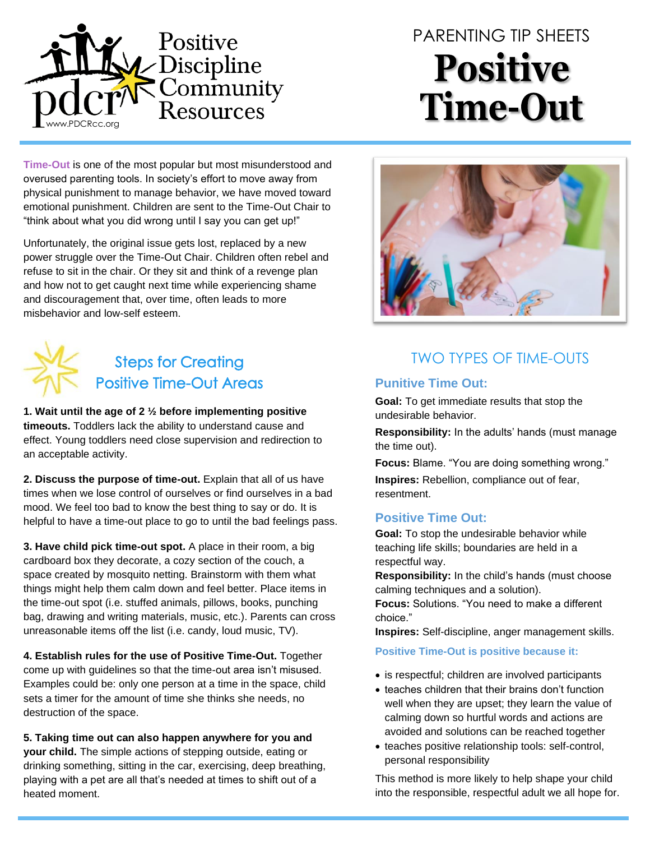

# PARENTING TIP SHEETS **Positive Time-Out**

**Time-Out** is one of the most popular but most misunderstood and overused parenting tools. In society's effort to move away from physical punishment to manage behavior, we have moved toward emotional punishment. Children are sent to the Time-Out Chair to "think about what you did wrong until I say you can get up!"

Unfortunately, the original issue gets lost, replaced by a new power struggle over the Time-Out Chair. Children often rebel and refuse to sit in the chair. Or they sit and think of a revenge plan and how not to get caught next time while experiencing shame and discouragement that, over time, often leads to more misbehavior and low-self esteem.



**1. Wait until the age of 2 ½ before implementing positive timeouts.** Toddlers lack the ability to understand cause and effect. Young toddlers need close supervision and redirection to an acceptable activity.

**2. Discuss the purpose of time-out.** Explain that all of us have times when we lose control of ourselves or find ourselves in a bad mood. We feel too bad to know the best thing to say or do. It is helpful to have a time-out place to go to until the bad feelings pass.

**3. Have child pick time-out spot.** A place in their room, a big cardboard box they decorate, a cozy section of the couch, a space created by mosquito netting. Brainstorm with them what things might help them calm down and feel better. Place items in the time-out spot (i.e. stuffed animals, pillows, books, punching bag, drawing and writing materials, music, etc.). Parents can cross unreasonable items off the list (i.e. candy, loud music, TV).

**4. Establish rules for the use of Positive Time-Out.** Together come up with guidelines so that the time-out area isn't misused. Examples could be: only one person at a time in the space, child sets a timer for the amount of time she thinks she needs, no destruction of the space.

**5. Taking time out can also happen anywhere for you and your child.** The simple actions of stepping outside, eating or drinking something, sitting in the car, exercising, deep breathing, playing with a pet are all that's needed at times to shift out of a heated moment.



# TWO TYPES OF TIME-OUTS

#### **Punitive Time Out:**

**Goal:** To get immediate results that stop the undesirable behavior.

**Responsibility:** In the adults' hands (must manage the time out).

**Focus:** Blame. "You are doing something wrong."

**Inspires:** Rebellion, compliance out of fear, resentment.

#### **Positive Time Out:**

**Goal:** To stop the undesirable behavior while teaching life skills; boundaries are held in a respectful way.

**Responsibility:** In the child's hands (must choose calming techniques and a solution).

**Focus:** Solutions. "You need to make a different choice."

**Inspires:** Self-discipline, anger management skills.

#### **Positive Time-Out is positive because it:**

- is respectful; children are involved participants
- teaches children that their brains don't function well when they are upset; they learn the value of calming down so hurtful words and actions are avoided and solutions can be reached together
- teaches positive relationship tools: self-control, personal responsibility

This method is more likely to help shape your child into the responsible, respectful adult we all hope for.